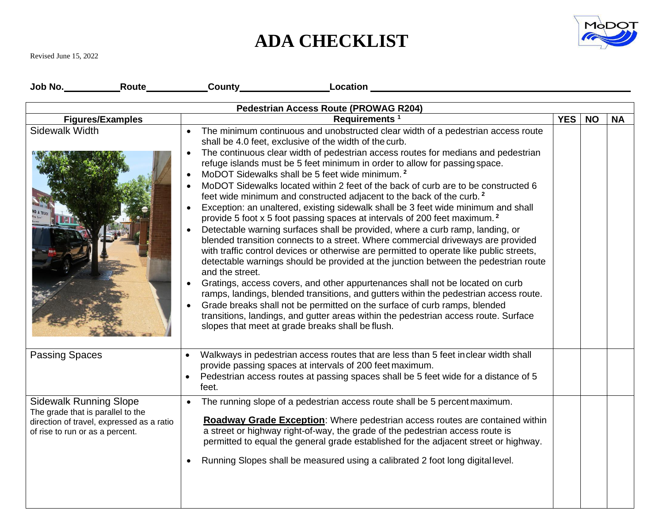## **ADA CHECKLIST**



Revised June 15, 2022

|                                                                                                       |                                           | _County_______________ | Location                                                                                                                                                                 |                                                                                                                                                                                                                                                                                                                                                                                                                                                                                                                                                                                                                                                                                                                                                                                                                                                                                                                                                                                                                                                                                                                                                                                                                                                                                                                 |  |            |           |           |
|-------------------------------------------------------------------------------------------------------|-------------------------------------------|------------------------|--------------------------------------------------------------------------------------------------------------------------------------------------------------------------|-----------------------------------------------------------------------------------------------------------------------------------------------------------------------------------------------------------------------------------------------------------------------------------------------------------------------------------------------------------------------------------------------------------------------------------------------------------------------------------------------------------------------------------------------------------------------------------------------------------------------------------------------------------------------------------------------------------------------------------------------------------------------------------------------------------------------------------------------------------------------------------------------------------------------------------------------------------------------------------------------------------------------------------------------------------------------------------------------------------------------------------------------------------------------------------------------------------------------------------------------------------------------------------------------------------------|--|------------|-----------|-----------|
| <b>Pedestrian Access Route (PROWAG R204)</b>                                                          |                                           |                        |                                                                                                                                                                          |                                                                                                                                                                                                                                                                                                                                                                                                                                                                                                                                                                                                                                                                                                                                                                                                                                                                                                                                                                                                                                                                                                                                                                                                                                                                                                                 |  |            |           |           |
|                                                                                                       | <b>Figures/Examples</b>                   |                        | Requirements <sup>1</sup>                                                                                                                                                |                                                                                                                                                                                                                                                                                                                                                                                                                                                                                                                                                                                                                                                                                                                                                                                                                                                                                                                                                                                                                                                                                                                                                                                                                                                                                                                 |  | <b>YES</b> | <b>NO</b> | <b>NA</b> |
| Sidewalk Width                                                                                        |                                           | and the street.        | shall be 4.0 feet, exclusive of the width of the curb.<br>MoDOT Sidewalks shall be 5 feet wide minimum. <sup>2</sup><br>slopes that meet at grade breaks shall be flush. | The minimum continuous and unobstructed clear width of a pedestrian access route<br>The continuous clear width of pedestrian access routes for medians and pedestrian<br>refuge islands must be 5 feet minimum in order to allow for passing space.<br>MoDOT Sidewalks located within 2 feet of the back of curb are to be constructed 6<br>feet wide minimum and constructed adjacent to the back of the curb. <sup>2</sup><br>Exception: an unaltered, existing sidewalk shall be 3 feet wide minimum and shall<br>provide 5 foot x 5 foot passing spaces at intervals of 200 feet maximum. <sup>2</sup><br>Detectable warning surfaces shall be provided, where a curb ramp, landing, or<br>blended transition connects to a street. Where commercial driveways are provided<br>with traffic control devices or otherwise are permitted to operate like public streets,<br>detectable warnings should be provided at the junction between the pedestrian route<br>Gratings, access covers, and other appurtenances shall not be located on curb<br>ramps, landings, blended transitions, and gutters within the pedestrian access route.<br>Grade breaks shall not be permitted on the surface of curb ramps, blended<br>transitions, landings, and gutter areas within the pedestrian access route. Surface |  |            |           |           |
| <b>Passing Spaces</b>                                                                                 |                                           | feet.                  | provide passing spaces at intervals of 200 feet maximum.                                                                                                                 | Walkways in pedestrian access routes that are less than 5 feet inclear width shall<br>Pedestrian access routes at passing spaces shall be 5 feet wide for a distance of 5                                                                                                                                                                                                                                                                                                                                                                                                                                                                                                                                                                                                                                                                                                                                                                                                                                                                                                                                                                                                                                                                                                                                       |  |            |           |           |
| <b>Sidewalk Running Slope</b><br>The grade that is parallel to the<br>of rise to run or as a percent. | direction of travel, expressed as a ratio |                        |                                                                                                                                                                          | The running slope of a pedestrian access route shall be 5 percent maximum.<br>Roadway Grade Exception: Where pedestrian access routes are contained within<br>a street or highway right-of-way, the grade of the pedestrian access route is<br>permitted to equal the general grade established for the adjacent street or highway.<br>Running Slopes shall be measured using a calibrated 2 foot long digital level.                                                                                                                                                                                                                                                                                                                                                                                                                                                                                                                                                                                                                                                                                                                                                                                                                                                                                           |  |            |           |           |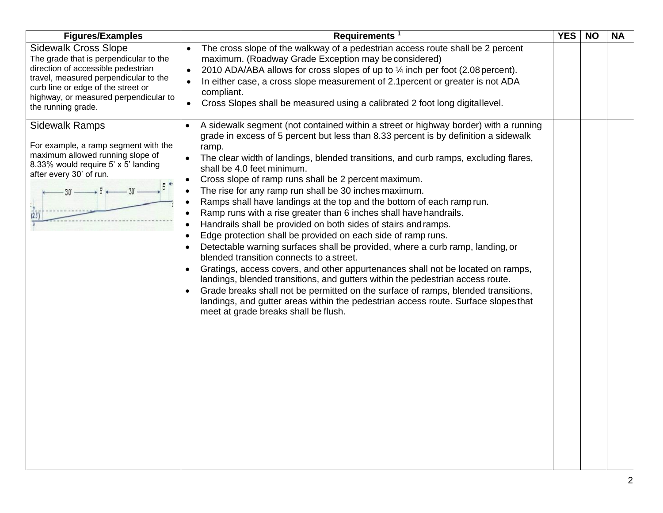| <b>Figures/Examples</b>                                                                                                                                                                                                                                   | Requirements <sup>1</sup>                                                                                                                                                                                                                                                                                                                                                                                                                                                                                                                                                                                                                                                                                                                                                                                                                                                                                                                                                                                                                                                                                                                                                                                                      | <b>YES</b> | <b>NO</b> | <b>NA</b> |
|-----------------------------------------------------------------------------------------------------------------------------------------------------------------------------------------------------------------------------------------------------------|--------------------------------------------------------------------------------------------------------------------------------------------------------------------------------------------------------------------------------------------------------------------------------------------------------------------------------------------------------------------------------------------------------------------------------------------------------------------------------------------------------------------------------------------------------------------------------------------------------------------------------------------------------------------------------------------------------------------------------------------------------------------------------------------------------------------------------------------------------------------------------------------------------------------------------------------------------------------------------------------------------------------------------------------------------------------------------------------------------------------------------------------------------------------------------------------------------------------------------|------------|-----------|-----------|
| <b>Sidewalk Cross Slope</b><br>The grade that is perpendicular to the<br>direction of accessible pedestrian<br>travel, measured perpendicular to the<br>curb line or edge of the street or<br>highway, or measured perpendicular to<br>the running grade. | The cross slope of the walkway of a pedestrian access route shall be 2 percent<br>$\bullet$<br>maximum. (Roadway Grade Exception may be considered)<br>2010 ADA/ABA allows for cross slopes of up to 1/4 inch per foot (2.08 percent).<br>$\bullet$<br>In either case, a cross slope measurement of 2.1 percent or greater is not ADA<br>compliant.<br>Cross Slopes shall be measured using a calibrated 2 foot long digital level.<br>$\bullet$                                                                                                                                                                                                                                                                                                                                                                                                                                                                                                                                                                                                                                                                                                                                                                               |            |           |           |
| <b>Sidewalk Ramps</b><br>For example, a ramp segment with the<br>maximum allowed running slope of<br>8.33% would require 5' x 5' landing<br>after every 30' of run.<br>(2.5)                                                                              | A sidewalk segment (not contained within a street or highway border) with a running<br>grade in excess of 5 percent but less than 8.33 percent is by definition a sidewalk<br>ramp.<br>The clear width of landings, blended transitions, and curb ramps, excluding flares,<br>shall be 4.0 feet minimum.<br>Cross slope of ramp runs shall be 2 percent maximum.<br>The rise for any ramp run shall be 30 inches maximum.<br>Ramps shall have landings at the top and the bottom of each ramp run.<br>Ramp runs with a rise greater than 6 inches shall have handrails.<br>Handrails shall be provided on both sides of stairs and ramps.<br>Edge protection shall be provided on each side of ramp runs.<br>Detectable warning surfaces shall be provided, where a curb ramp, landing, or<br>blended transition connects to a street.<br>Gratings, access covers, and other appurtenances shall not be located on ramps,<br>landings, blended transitions, and gutters within the pedestrian access route.<br>Grade breaks shall not be permitted on the surface of ramps, blended transitions,<br>landings, and gutter areas within the pedestrian access route. Surface slopes that<br>meet at grade breaks shall be flush. |            |           |           |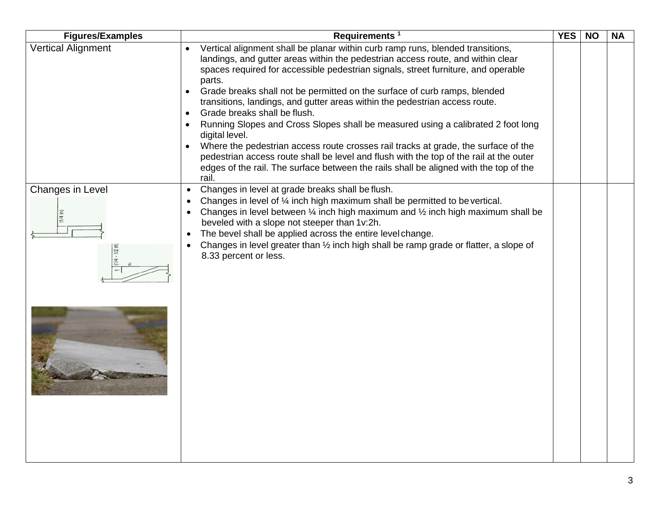| <b>Figures/Examples</b>            | Requirements <sup>1</sup>                                                                                                                                                                                                                                                                                                                                                                                                                                                  | <b>YES</b> | <b>NO</b> | <b>NA</b> |
|------------------------------------|----------------------------------------------------------------------------------------------------------------------------------------------------------------------------------------------------------------------------------------------------------------------------------------------------------------------------------------------------------------------------------------------------------------------------------------------------------------------------|------------|-----------|-----------|
| <b>Vertical Alignment</b>          | Vertical alignment shall be planar within curb ramp runs, blended transitions,<br>landings, and gutter areas within the pedestrian access route, and within clear<br>spaces required for accessible pedestrian signals, street furniture, and operable<br>parts.                                                                                                                                                                                                           |            |           |           |
|                                    | Grade breaks shall not be permitted on the surface of curb ramps, blended<br>transitions, landings, and gutter areas within the pedestrian access route.<br>Grade breaks shall be flush.                                                                                                                                                                                                                                                                                   |            |           |           |
|                                    | Running Slopes and Cross Slopes shall be measured using a calibrated 2 foot long<br>digital level.                                                                                                                                                                                                                                                                                                                                                                         |            |           |           |
|                                    | Where the pedestrian access route crosses rail tracks at grade, the surface of the<br>pedestrian access route shall be level and flush with the top of the rail at the outer<br>edges of the rail. The surface between the rails shall be aligned with the top of the<br>rail.                                                                                                                                                                                             |            |           |           |
| Changes in Level<br>$1/4 - 1/2$ in | Changes in level at grade breaks shall be flush.<br>Changes in level of 1/4 inch high maximum shall be permitted to be vertical.<br>Changes in level between $\frac{1}{4}$ inch high maximum and $\frac{1}{2}$ inch high maximum shall be<br>beveled with a slope not steeper than 1v:2h.<br>The bevel shall be applied across the entire level change.<br>Changes in level greater than 1/2 inch high shall be ramp grade or flatter, a slope of<br>8.33 percent or less. |            |           |           |
|                                    |                                                                                                                                                                                                                                                                                                                                                                                                                                                                            |            |           |           |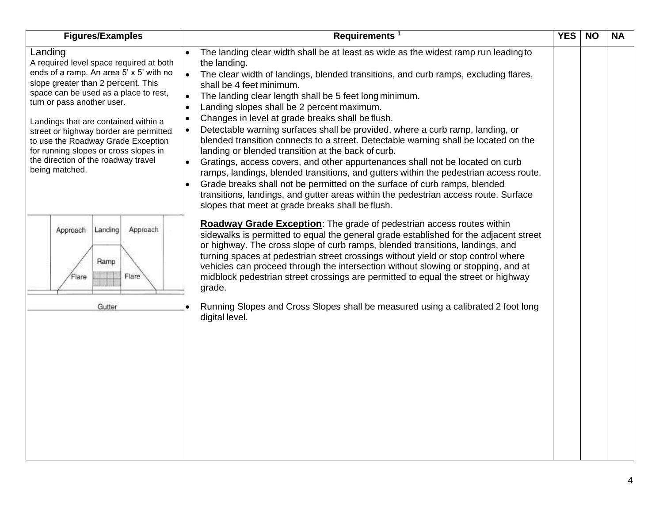| <b>Figures/Examples</b>                                                                                                                                                                                                                                                                                                                                                                                                              | Requirements <sup>1</sup>                                                                                                                                                                                                                                                                                                                                                                                                                                                                                                                                                                                                                                                                                                                                                                                                                                                                                                                                                                                                                                                           | <b>YES</b> | <b>NO</b> | <b>NA</b> |
|--------------------------------------------------------------------------------------------------------------------------------------------------------------------------------------------------------------------------------------------------------------------------------------------------------------------------------------------------------------------------------------------------------------------------------------|-------------------------------------------------------------------------------------------------------------------------------------------------------------------------------------------------------------------------------------------------------------------------------------------------------------------------------------------------------------------------------------------------------------------------------------------------------------------------------------------------------------------------------------------------------------------------------------------------------------------------------------------------------------------------------------------------------------------------------------------------------------------------------------------------------------------------------------------------------------------------------------------------------------------------------------------------------------------------------------------------------------------------------------------------------------------------------------|------------|-----------|-----------|
| Landing<br>A required level space required at both<br>ends of a ramp. An area 5' x 5' with no<br>slope greater than 2 percent. This<br>space can be used as a place to rest,<br>turn or pass another user.<br>Landings that are contained within a<br>street or highway border are permitted<br>to use the Roadway Grade Exception<br>for running slopes or cross slopes in<br>the direction of the roadway travel<br>being matched. | The landing clear width shall be at least as wide as the widest ramp run leading to<br>the landing.<br>The clear width of landings, blended transitions, and curb ramps, excluding flares,<br>$\bullet$<br>shall be 4 feet minimum.<br>The landing clear length shall be 5 feet long minimum.<br>Landing slopes shall be 2 percent maximum.<br>$\bullet$<br>Changes in level at grade breaks shall be flush.<br>$\bullet$<br>Detectable warning surfaces shall be provided, where a curb ramp, landing, or<br>$\bullet$<br>blended transition connects to a street. Detectable warning shall be located on the<br>landing or blended transition at the back of curb.<br>$\bullet$<br>Gratings, access covers, and other appurtenances shall not be located on curb<br>ramps, landings, blended transitions, and gutters within the pedestrian access route.<br>Grade breaks shall not be permitted on the surface of curb ramps, blended<br>transitions, landings, and gutter areas within the pedestrian access route. Surface<br>slopes that meet at grade breaks shall be flush. |            |           |           |
| Landing<br>Approach<br>Approach<br>Ramp<br>Flare<br>Flare                                                                                                                                                                                                                                                                                                                                                                            | <b>Roadway Grade Exception:</b> The grade of pedestrian access routes within<br>sidewalks is permitted to equal the general grade established for the adjacent street<br>or highway. The cross slope of curb ramps, blended transitions, landings, and<br>turning spaces at pedestrian street crossings without yield or stop control where<br>vehicles can proceed through the intersection without slowing or stopping, and at<br>midblock pedestrian street crossings are permitted to equal the street or highway<br>grade.                                                                                                                                                                                                                                                                                                                                                                                                                                                                                                                                                     |            |           |           |
| Gutter                                                                                                                                                                                                                                                                                                                                                                                                                               | Running Slopes and Cross Slopes shall be measured using a calibrated 2 foot long<br>digital level.                                                                                                                                                                                                                                                                                                                                                                                                                                                                                                                                                                                                                                                                                                                                                                                                                                                                                                                                                                                  |            |           |           |
|                                                                                                                                                                                                                                                                                                                                                                                                                                      |                                                                                                                                                                                                                                                                                                                                                                                                                                                                                                                                                                                                                                                                                                                                                                                                                                                                                                                                                                                                                                                                                     |            |           |           |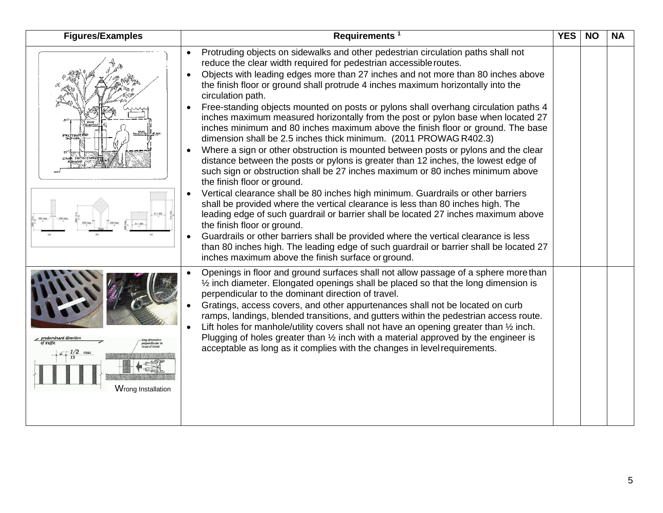| <b>Figures/Examples</b> | Requirements <sup>1</sup>                                                                                                                                                                                                                                                                                                                                                                                                                                                                                                                                                                                                                                                                                                                                                                                                                                                                                                                                                                                                                                                                                                                                                                                                                                                                                                                                                                                                                                                                                             | <b>YES</b> | <b>NO</b> | <b>NA</b> |
|-------------------------|-----------------------------------------------------------------------------------------------------------------------------------------------------------------------------------------------------------------------------------------------------------------------------------------------------------------------------------------------------------------------------------------------------------------------------------------------------------------------------------------------------------------------------------------------------------------------------------------------------------------------------------------------------------------------------------------------------------------------------------------------------------------------------------------------------------------------------------------------------------------------------------------------------------------------------------------------------------------------------------------------------------------------------------------------------------------------------------------------------------------------------------------------------------------------------------------------------------------------------------------------------------------------------------------------------------------------------------------------------------------------------------------------------------------------------------------------------------------------------------------------------------------------|------------|-----------|-----------|
| 720 TEC                 | Protruding objects on sidewalks and other pedestrian circulation paths shall not<br>reduce the clear width required for pedestrian accessible routes.<br>Objects with leading edges more than 27 inches and not more than 80 inches above<br>the finish floor or ground shall protrude 4 inches maximum horizontally into the<br>circulation path.<br>Free-standing objects mounted on posts or pylons shall overhang circulation paths 4<br>inches maximum measured horizontally from the post or pylon base when located 27<br>inches minimum and 80 inches maximum above the finish floor or ground. The base<br>dimension shall be 2.5 inches thick minimum. (2011 PROWAG R402.3)<br>Where a sign or other obstruction is mounted between posts or pylons and the clear<br>distance between the posts or pylons is greater than 12 inches, the lowest edge of<br>such sign or obstruction shall be 27 inches maximum or 80 inches minimum above<br>the finish floor or ground.<br>Vertical clearance shall be 80 inches high minimum. Guardrails or other barriers<br>shall be provided where the vertical clearance is less than 80 inches high. The<br>leading edge of such guardrail or barrier shall be located 27 inches maximum above<br>the finish floor or ground.<br>Guardrails or other barriers shall be provided where the vertical clearance is less<br>than 80 inches high. The leading edge of such guardrail or barrier shall be located 27<br>inches maximum above the finish surface or ground. |            |           |           |
| Wrong Installation      | Openings in floor and ground surfaces shall not allow passage of a sphere more than<br>1/2 inch diameter. Elongated openings shall be placed so that the long dimension is<br>perpendicular to the dominant direction of travel.<br>Gratings, access covers, and other appurtenances shall not be located on curb<br>ramps, landings, blended transitions, and gutters within the pedestrian access route.<br>Lift holes for manhole/utility covers shall not have an opening greater than $\frac{1}{2}$ inch.<br>Plugging of holes greater than $\frac{1}{2}$ inch with a material approved by the engineer is<br>acceptable as long as it complies with the changes in level requirements.                                                                                                                                                                                                                                                                                                                                                                                                                                                                                                                                                                                                                                                                                                                                                                                                                          |            |           |           |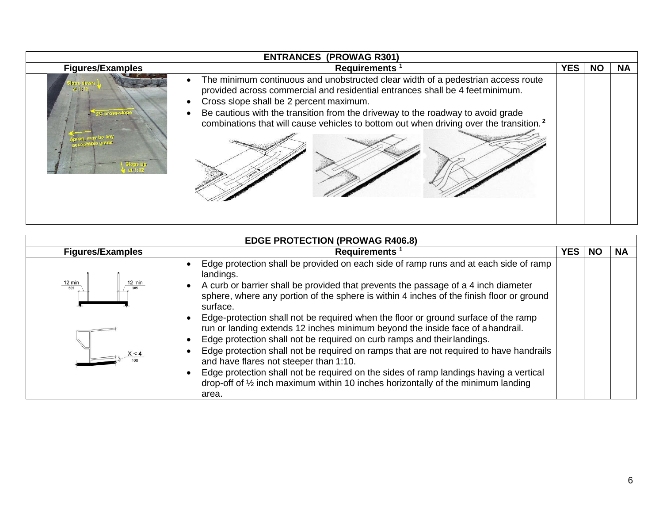| <b>ENTRANCES (PROWAG R301)</b> |                                                                                                                                                                                                                                                                                                                                                                                                       |     |           |     |  |  |
|--------------------------------|-------------------------------------------------------------------------------------------------------------------------------------------------------------------------------------------------------------------------------------------------------------------------------------------------------------------------------------------------------------------------------------------------------|-----|-----------|-----|--|--|
| <b>Figures/Examples</b>        | <b>Requirements</b>                                                                                                                                                                                                                                                                                                                                                                                   | YES | <b>NO</b> | NA. |  |  |
| lone down<br>Wileross-Slope    | The minimum continuous and unobstructed clear width of a pedestrian access route<br>provided across commercial and residential entrances shall be 4 feet minimum.<br>Cross slope shall be 2 percent maximum.<br>Be cautious with the transition from the driveway to the roadway to avoid grade<br>combinations that will cause vehicles to bottom out when driving over the transition. <sup>2</sup> |     |           |     |  |  |

| <b>EDGE PROTECTION (PROWAG R406.8)</b> |                                                                                                                                                                                                                                                                                                                                                                                                                                                                                                                                                                                                                                                                                                                                                                                |            |    |           |  |
|----------------------------------------|--------------------------------------------------------------------------------------------------------------------------------------------------------------------------------------------------------------------------------------------------------------------------------------------------------------------------------------------------------------------------------------------------------------------------------------------------------------------------------------------------------------------------------------------------------------------------------------------------------------------------------------------------------------------------------------------------------------------------------------------------------------------------------|------------|----|-----------|--|
| <b>Figures/Examples</b>                | <b>Requirements</b>                                                                                                                                                                                                                                                                                                                                                                                                                                                                                                                                                                                                                                                                                                                                                            | <b>YES</b> | NC | <b>NA</b> |  |
| $\frac{12 \text{ min}}{305}$           | Edge protection shall be provided on each side of ramp runs and at each side of ramp<br>landings.<br>A curb or barrier shall be provided that prevents the passage of a 4 inch diameter<br>sphere, where any portion of the sphere is within 4 inches of the finish floor or ground<br>surface.<br>Edge-protection shall not be required when the floor or ground surface of the ramp<br>run or landing extends 12 inches minimum beyond the inside face of ahandrail.<br>Edge protection shall not be required on curb ramps and their landings.<br>Edge protection shall not be required on ramps that are not required to have handrails<br>and have flares not steeper than 1:10.<br>Edge protection shall not be required on the sides of ramp landings having a vertical |            |    |           |  |
|                                        | drop-off of $\frac{1}{2}$ inch maximum within 10 inches horizontally of the minimum landing<br>area.                                                                                                                                                                                                                                                                                                                                                                                                                                                                                                                                                                                                                                                                           |            |    |           |  |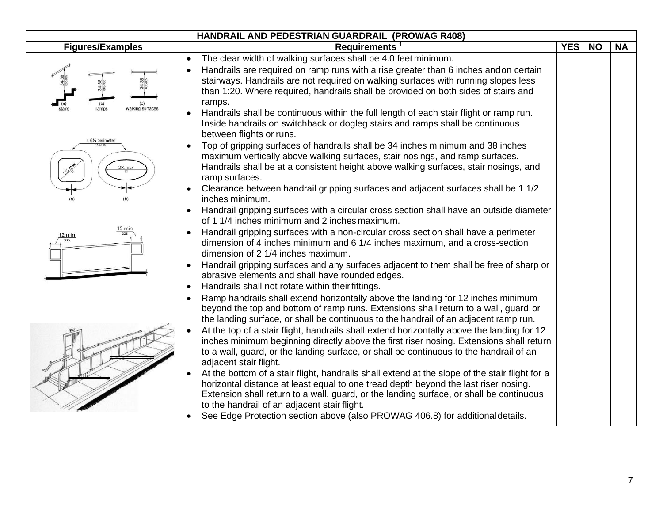|                                               | HANDRAIL AND PEDESTRIAN GUARDRAIL (PROWAG R408)                                                                                                                                                                                                                                                                                             |            |           |           |
|-----------------------------------------------|---------------------------------------------------------------------------------------------------------------------------------------------------------------------------------------------------------------------------------------------------------------------------------------------------------------------------------------------|------------|-----------|-----------|
| <b>Figures/Examples</b>                       | Requirements <sup>1</sup>                                                                                                                                                                                                                                                                                                                   | <b>YES</b> | <b>NO</b> | <b>NA</b> |
|                                               | The clear width of walking surfaces shall be 4.0 feet minimum.<br>Handrails are required on ramp runs with a rise greater than 6 inches andon certain<br>stairways. Handrails are not required on walking surfaces with running slopes less<br>than 1:20. Where required, handrails shall be provided on both sides of stairs and<br>ramps. |            |           |           |
| ramps<br>walking surface:<br>4-61/4 perimeter | Handrails shall be continuous within the full length of each stair flight or ramp run.<br>Inside handrails on switchback or dogleg stairs and ramps shall be continuous<br>between flights or runs.                                                                                                                                         |            |           |           |
|                                               | Top of gripping surfaces of handrails shall be 34 inches minimum and 38 inches<br>maximum vertically above walking surfaces, stair nosings, and ramp surfaces.<br>Handrails shall be at a consistent height above walking surfaces, stair nosings, and<br>ramp surfaces.                                                                    |            |           |           |
|                                               | Clearance between handrail gripping surfaces and adjacent surfaces shall be 1 1/2<br>inches minimum.                                                                                                                                                                                                                                        |            |           |           |
|                                               | Handrail gripping surfaces with a circular cross section shall have an outside diameter<br>of 1 1/4 inches minimum and 2 inches maximum.                                                                                                                                                                                                    |            |           |           |
| $12 \text{ min}$                              | Handrail gripping surfaces with a non-circular cross section shall have a perimeter<br>dimension of 4 inches minimum and 6 1/4 inches maximum, and a cross-section<br>dimension of 2 1/4 inches maximum.                                                                                                                                    |            |           |           |
|                                               | Handrail gripping surfaces and any surfaces adjacent to them shall be free of sharp or<br>abrasive elements and shall have rounded edges.                                                                                                                                                                                                   |            |           |           |
|                                               | Handrails shall not rotate within their fittings.                                                                                                                                                                                                                                                                                           |            |           |           |
|                                               | Ramp handrails shall extend horizontally above the landing for 12 inches minimum<br>beyond the top and bottom of ramp runs. Extensions shall return to a wall, guard, or<br>the landing surface, or shall be continuous to the handrail of an adjacent ramp run.                                                                            |            |           |           |
|                                               | At the top of a stair flight, handrails shall extend horizontally above the landing for 12<br>inches minimum beginning directly above the first riser nosing. Extensions shall return<br>to a wall, guard, or the landing surface, or shall be continuous to the handrail of an<br>adjacent stair flight.                                   |            |           |           |
|                                               | At the bottom of a stair flight, handrails shall extend at the slope of the stair flight for a<br>horizontal distance at least equal to one tread depth beyond the last riser nosing.<br>Extension shall return to a wall, guard, or the landing surface, or shall be continuous<br>to the handrail of an adjacent stair flight.            |            |           |           |
|                                               | See Edge Protection section above (also PROWAG 406.8) for additional details.                                                                                                                                                                                                                                                               |            |           |           |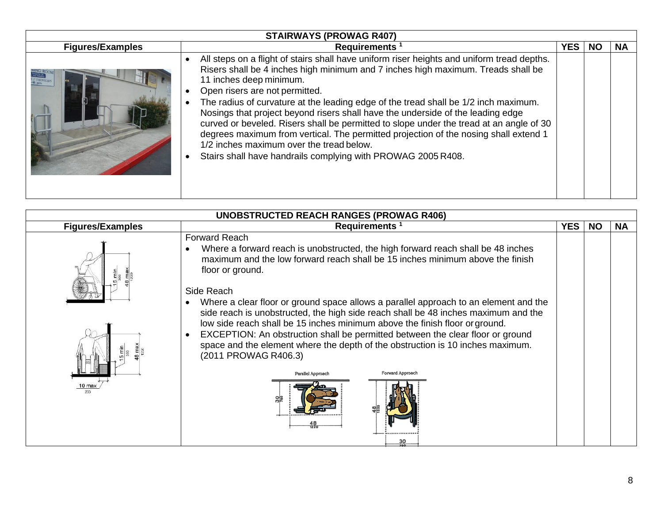| <b>STAIRWAYS (PROWAG R407)</b> |                                                                                                                                                                                                                                                                                                                                                                                                                                                                                                                                                                                                                                                                                                                      |            |           |           |  |  |
|--------------------------------|----------------------------------------------------------------------------------------------------------------------------------------------------------------------------------------------------------------------------------------------------------------------------------------------------------------------------------------------------------------------------------------------------------------------------------------------------------------------------------------------------------------------------------------------------------------------------------------------------------------------------------------------------------------------------------------------------------------------|------------|-----------|-----------|--|--|
| <b>Figures/Examples</b>        | <b>Requirements</b>                                                                                                                                                                                                                                                                                                                                                                                                                                                                                                                                                                                                                                                                                                  | <b>YES</b> | <b>NO</b> | <b>NA</b> |  |  |
| <b>NING ROOP</b>               | All steps on a flight of stairs shall have uniform riser heights and uniform tread depths.<br>Risers shall be 4 inches high minimum and 7 inches high maximum. Treads shall be<br>11 inches deep minimum.<br>Open risers are not permitted.<br>The radius of curvature at the leading edge of the tread shall be 1/2 inch maximum.<br>Nosings that project beyond risers shall have the underside of the leading edge<br>curved or beveled. Risers shall be permitted to slope under the tread at an angle of 30<br>degrees maximum from vertical. The permitted projection of the nosing shall extend 1<br>1/2 inches maximum over the tread below.<br>Stairs shall have handrails complying with PROWAG 2005 R408. |            |           |           |  |  |

| <b>UNOBSTRUCTED REACH RANGES (PROWAG R406)</b> |                                                                                                                                                                                                                                                                                                                                                                                                                                                                                                                                                                                                                                                                                                                               |            |           |           |  |  |  |
|------------------------------------------------|-------------------------------------------------------------------------------------------------------------------------------------------------------------------------------------------------------------------------------------------------------------------------------------------------------------------------------------------------------------------------------------------------------------------------------------------------------------------------------------------------------------------------------------------------------------------------------------------------------------------------------------------------------------------------------------------------------------------------------|------------|-----------|-----------|--|--|--|
| <b>Figures/Examples</b>                        | Requirements <sup>1</sup>                                                                                                                                                                                                                                                                                                                                                                                                                                                                                                                                                                                                                                                                                                     | <b>YES</b> | <b>NO</b> | <b>NA</b> |  |  |  |
| 틥<br>$10$ max                                  | <b>Forward Reach</b><br>Where a forward reach is unobstructed, the high forward reach shall be 48 inches<br>maximum and the low forward reach shall be 15 inches minimum above the finish<br>floor or ground.<br>Side Reach<br>Where a clear floor or ground space allows a parallel approach to an element and the<br>side reach is unobstructed, the high side reach shall be 48 inches maximum and the<br>low side reach shall be 15 inches minimum above the finish floor or ground.<br>EXCEPTION: An obstruction shall be permitted between the clear floor or ground<br>space and the element where the depth of the obstruction is 10 inches maximum.<br>(2011 PROWAG R406.3)<br>Forward Approach<br>Parallel Approach |            |           |           |  |  |  |
|                                                |                                                                                                                                                                                                                                                                                                                                                                                                                                                                                                                                                                                                                                                                                                                               |            |           |           |  |  |  |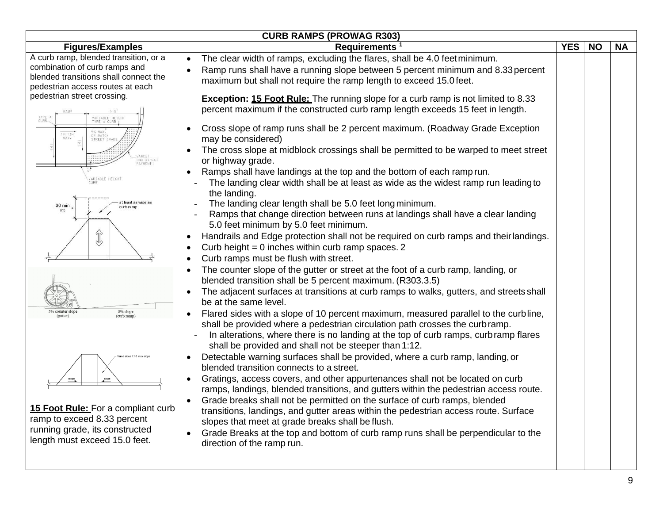| <b>Figures/Examples</b>                                                                                                                                                                                                                                                                                                                                                                                        | Requirements <sup>1</sup>                                                                                                                                                                                                                                                                                                                                                                                                                                                                                                                                                                                                                                                                                                                                                                                                                                                                                                                                                                                                                                                                                                                                                                                                                                                                                                                                                                                                                                                                                                                                                                                                                                                                                                                                                                                                                                                                                                                                                                                                                                                                                                                                                                                                                                                                                                                                                                    | <b>YES</b> | <b>NO</b> | <b>NA</b> |  |  |  |
|----------------------------------------------------------------------------------------------------------------------------------------------------------------------------------------------------------------------------------------------------------------------------------------------------------------------------------------------------------------------------------------------------------------|----------------------------------------------------------------------------------------------------------------------------------------------------------------------------------------------------------------------------------------------------------------------------------------------------------------------------------------------------------------------------------------------------------------------------------------------------------------------------------------------------------------------------------------------------------------------------------------------------------------------------------------------------------------------------------------------------------------------------------------------------------------------------------------------------------------------------------------------------------------------------------------------------------------------------------------------------------------------------------------------------------------------------------------------------------------------------------------------------------------------------------------------------------------------------------------------------------------------------------------------------------------------------------------------------------------------------------------------------------------------------------------------------------------------------------------------------------------------------------------------------------------------------------------------------------------------------------------------------------------------------------------------------------------------------------------------------------------------------------------------------------------------------------------------------------------------------------------------------------------------------------------------------------------------------------------------------------------------------------------------------------------------------------------------------------------------------------------------------------------------------------------------------------------------------------------------------------------------------------------------------------------------------------------------------------------------------------------------------------------------------------------------|------------|-----------|-----------|--|--|--|
| A curb ramp, blended transition, or a<br>combination of curb ramps and<br>blended transitions shall connect the<br>pedestrian access routes at each<br>pedestrian street crossing.<br>TYPE A<br>ARIABLE HEIGH<br>$1V:12H$ MAX.<br>OR MATCH<br>STREET GRA<br>(NO DIRECT<br>PAYMENT)<br>VARIABLE HEIGH<br>at least as wide as<br>36 min<br>curb ramı<br>$\forall b$<br>8% slope<br>5% counter slope<br>curb ramp | <b>CURB RAMPS (PROWAG R303)</b><br>The clear width of ramps, excluding the flares, shall be 4.0 feet minimum.<br>$\bullet$<br>Ramp runs shall have a running slope between 5 percent minimum and 8.33 percent<br>$\bullet$<br>maximum but shall not require the ramp length to exceed 15.0 feet.<br><b>Exception: 15 Foot Rule:</b> The running slope for a curb ramp is not limited to 8.33<br>percent maximum if the constructed curb ramp length exceeds 15 feet in length.<br>Cross slope of ramp runs shall be 2 percent maximum. (Roadway Grade Exception<br>$\bullet$<br>may be considered)<br>The cross slope at midblock crossings shall be permitted to be warped to meet street<br>$\bullet$<br>or highway grade.<br>Ramps shall have landings at the top and the bottom of each ramp run.<br>The landing clear width shall be at least as wide as the widest ramp run leading to<br>the landing.<br>The landing clear length shall be 5.0 feet long minimum.<br>Ramps that change direction between runs at landings shall have a clear landing<br>5.0 feet minimum by 5.0 feet minimum.<br>Handrails and Edge protection shall not be required on curb ramps and their landings.<br>$\bullet$<br>Curb height = $0$ inches within curb ramp spaces. 2<br>$\bullet$<br>Curb ramps must be flush with street.<br>$\bullet$<br>The counter slope of the gutter or street at the foot of a curb ramp, landing, or<br>$\bullet$<br>blended transition shall be 5 percent maximum. (R303.3.5)<br>The adjacent surfaces at transitions at curb ramps to walks, gutters, and streets shall<br>$\bullet$<br>be at the same level.<br>Flared sides with a slope of 10 percent maximum, measured parallel to the curbline,<br>٠<br>shall be provided where a pedestrian circulation path crosses the curb ramp.<br>In alterations, where there is no landing at the top of curb ramps, curb ramp flares<br>shall be provided and shall not be steeper than 1:12.<br>Detectable warning surfaces shall be provided, where a curb ramp, landing, or<br>$\bullet$<br>blended transition connects to a street.<br>Gratings, access covers, and other appurtenances shall not be located on curb<br>$\bullet$<br>ramps, landings, blended transitions, and gutters within the pedestrian access route.<br>Grade breaks shall not be permitted on the surface of curb ramps, blended<br>$\bullet$ |            |           |           |  |  |  |
| 15 Foot Rule: For a compliant curb<br>ramp to exceed 8.33 percent<br>running grade, its constructed<br>length must exceed 15.0 feet.                                                                                                                                                                                                                                                                           | transitions, landings, and gutter areas within the pedestrian access route. Surface<br>slopes that meet at grade breaks shall be flush.<br>Grade Breaks at the top and bottom of curb ramp runs shall be perpendicular to the<br>$\bullet$<br>direction of the ramp run.                                                                                                                                                                                                                                                                                                                                                                                                                                                                                                                                                                                                                                                                                                                                                                                                                                                                                                                                                                                                                                                                                                                                                                                                                                                                                                                                                                                                                                                                                                                                                                                                                                                                                                                                                                                                                                                                                                                                                                                                                                                                                                                     |            |           |           |  |  |  |
|                                                                                                                                                                                                                                                                                                                                                                                                                |                                                                                                                                                                                                                                                                                                                                                                                                                                                                                                                                                                                                                                                                                                                                                                                                                                                                                                                                                                                                                                                                                                                                                                                                                                                                                                                                                                                                                                                                                                                                                                                                                                                                                                                                                                                                                                                                                                                                                                                                                                                                                                                                                                                                                                                                                                                                                                                              |            |           |           |  |  |  |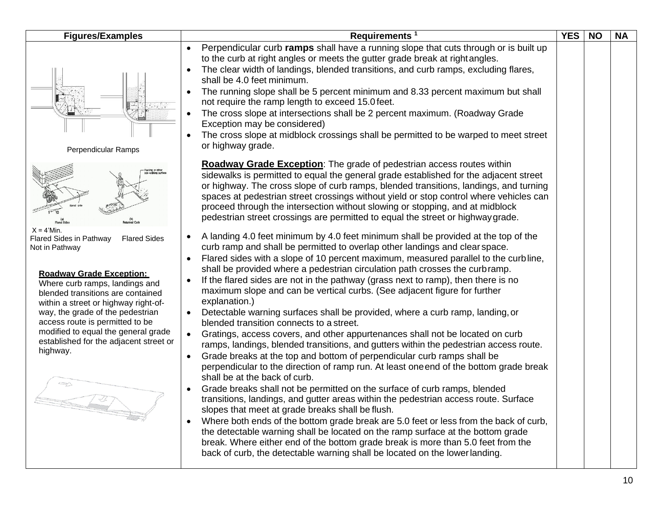| <b>Figures/Examples</b>                                                                                                                                                                                                                                                                                                                                                                                             | Requirements <sup>1</sup>                                                                                                                                                                                                                                                                                                                                                                                                                                                                                                                                                                                                                                                                                                                                                                                                                                                                                                                                                                                                                                                                                                                                                                                                                                                                                                                                                                                                                                                                                                                                                                                                                                                                                                                                                                                                                                                                                                                                                                                                                                                                                                                                    | <b>YES</b> | <b>NO</b> | <b>NA</b> |
|---------------------------------------------------------------------------------------------------------------------------------------------------------------------------------------------------------------------------------------------------------------------------------------------------------------------------------------------------------------------------------------------------------------------|--------------------------------------------------------------------------------------------------------------------------------------------------------------------------------------------------------------------------------------------------------------------------------------------------------------------------------------------------------------------------------------------------------------------------------------------------------------------------------------------------------------------------------------------------------------------------------------------------------------------------------------------------------------------------------------------------------------------------------------------------------------------------------------------------------------------------------------------------------------------------------------------------------------------------------------------------------------------------------------------------------------------------------------------------------------------------------------------------------------------------------------------------------------------------------------------------------------------------------------------------------------------------------------------------------------------------------------------------------------------------------------------------------------------------------------------------------------------------------------------------------------------------------------------------------------------------------------------------------------------------------------------------------------------------------------------------------------------------------------------------------------------------------------------------------------------------------------------------------------------------------------------------------------------------------------------------------------------------------------------------------------------------------------------------------------------------------------------------------------------------------------------------------------|------------|-----------|-----------|
| Perpendicular Ramps                                                                                                                                                                                                                                                                                                                                                                                                 | Perpendicular curb ramps shall have a running slope that cuts through or is built up<br>to the curb at right angles or meets the gutter grade break at right angles.<br>The clear width of landings, blended transitions, and curb ramps, excluding flares,<br>shall be 4.0 feet minimum.<br>The running slope shall be 5 percent minimum and 8.33 percent maximum but shall<br>not require the ramp length to exceed 15.0 feet.<br>The cross slope at intersections shall be 2 percent maximum. (Roadway Grade<br>Exception may be considered)<br>The cross slope at midblock crossings shall be permitted to be warped to meet street<br>or highway grade.                                                                                                                                                                                                                                                                                                                                                                                                                                                                                                                                                                                                                                                                                                                                                                                                                                                                                                                                                                                                                                                                                                                                                                                                                                                                                                                                                                                                                                                                                                 |            |           |           |
| $X = 4$ 'Min.<br><b>Flared Sides</b><br><b>Flared Sides in Pathway</b><br>Not in Pathway<br><b>Roadway Grade Exception:</b><br>Where curb ramps, landings and<br>blended transitions are contained<br>within a street or highway right-of-<br>way, the grade of the pedestrian<br>access route is permitted to be<br>modified to equal the general grade<br>established for the adjacent street or<br>highway.<br>₩ | <b>Roadway Grade Exception:</b> The grade of pedestrian access routes within<br>sidewalks is permitted to equal the general grade established for the adjacent street<br>or highway. The cross slope of curb ramps, blended transitions, landings, and turning<br>spaces at pedestrian street crossings without yield or stop control where vehicles can<br>proceed through the intersection without slowing or stopping, and at midblock<br>pedestrian street crossings are permitted to equal the street or highway grade.<br>A landing 4.0 feet minimum by 4.0 feet minimum shall be provided at the top of the<br>curb ramp and shall be permitted to overlap other landings and clear space.<br>Flared sides with a slope of 10 percent maximum, measured parallel to the curbline,<br>shall be provided where a pedestrian circulation path crosses the curb ramp.<br>If the flared sides are not in the pathway (grass next to ramp), then there is no<br>maximum slope and can be vertical curbs. (See adjacent figure for further<br>explanation.)<br>Detectable warning surfaces shall be provided, where a curb ramp, landing, or<br>blended transition connects to a street.<br>Gratings, access covers, and other appurtenances shall not be located on curb<br>ramps, landings, blended transitions, and gutters within the pedestrian access route.<br>Grade breaks at the top and bottom of perpendicular curb ramps shall be<br>$\bullet$<br>perpendicular to the direction of ramp run. At least one end of the bottom grade break<br>shall be at the back of curb.<br>Grade breaks shall not be permitted on the surface of curb ramps, blended<br>transitions, landings, and gutter areas within the pedestrian access route. Surface<br>slopes that meet at grade breaks shall be flush.<br>Where both ends of the bottom grade break are 5.0 feet or less from the back of curb,<br>the detectable warning shall be located on the ramp surface at the bottom grade<br>break. Where either end of the bottom grade break is more than 5.0 feet from the<br>back of curb, the detectable warning shall be located on the lower landing. |            |           |           |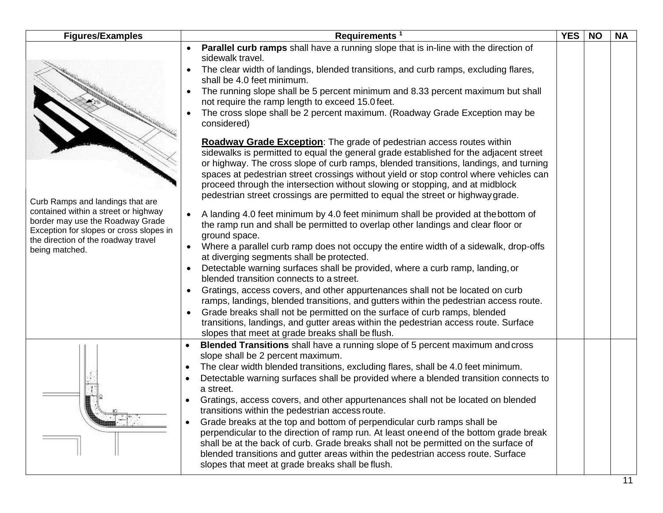| <b>Figures/Examples</b>                                                                                                                                                                                          | Requirements <sup>1</sup>                                                                                                                                                                                                                                                                                                                                                                                                                                                                                                                                                                                                                                                                                                                                                                                                                                                                                                                                                                                                                                                                                                                                                                                                                                                                                                                                                                                                                                                                                                                                                                                                                                                                                                                                                                                                                                               | <b>YES</b> | <b>NO</b> | <b>NA</b> |
|------------------------------------------------------------------------------------------------------------------------------------------------------------------------------------------------------------------|-------------------------------------------------------------------------------------------------------------------------------------------------------------------------------------------------------------------------------------------------------------------------------------------------------------------------------------------------------------------------------------------------------------------------------------------------------------------------------------------------------------------------------------------------------------------------------------------------------------------------------------------------------------------------------------------------------------------------------------------------------------------------------------------------------------------------------------------------------------------------------------------------------------------------------------------------------------------------------------------------------------------------------------------------------------------------------------------------------------------------------------------------------------------------------------------------------------------------------------------------------------------------------------------------------------------------------------------------------------------------------------------------------------------------------------------------------------------------------------------------------------------------------------------------------------------------------------------------------------------------------------------------------------------------------------------------------------------------------------------------------------------------------------------------------------------------------------------------------------------------|------------|-----------|-----------|
| Curb Ramps and landings that are<br>contained within a street or highway<br>border may use the Roadway Grade<br>Exception for slopes or cross slopes in<br>the direction of the roadway travel<br>being matched. | <b>Parallel curb ramps</b> shall have a running slope that is in-line with the direction of<br>sidewalk travel.<br>The clear width of landings, blended transitions, and curb ramps, excluding flares,<br>shall be 4.0 feet minimum.<br>The running slope shall be 5 percent minimum and 8.33 percent maximum but shall<br>not require the ramp length to exceed 15.0 feet.<br>The cross slope shall be 2 percent maximum. (Roadway Grade Exception may be<br>considered)<br><b>Roadway Grade Exception:</b> The grade of pedestrian access routes within<br>sidewalks is permitted to equal the general grade established for the adjacent street<br>or highway. The cross slope of curb ramps, blended transitions, landings, and turning<br>spaces at pedestrian street crossings without yield or stop control where vehicles can<br>proceed through the intersection without slowing or stopping, and at midblock<br>pedestrian street crossings are permitted to equal the street or highway grade.<br>A landing 4.0 feet minimum by 4.0 feet minimum shall be provided at the bottom of<br>the ramp run and shall be permitted to overlap other landings and clear floor or<br>ground space.<br>Where a parallel curb ramp does not occupy the entire width of a sidewalk, drop-offs<br>at diverging segments shall be protected.<br>Detectable warning surfaces shall be provided, where a curb ramp, landing, or<br>blended transition connects to a street.<br>Gratings, access covers, and other appurtenances shall not be located on curb<br>ramps, landings, blended transitions, and gutters within the pedestrian access route.<br>Grade breaks shall not be permitted on the surface of curb ramps, blended<br>transitions, landings, and gutter areas within the pedestrian access route. Surface<br>slopes that meet at grade breaks shall be flush. |            |           |           |
|                                                                                                                                                                                                                  | Blended Transitions shall have a running slope of 5 percent maximum and cross<br>$\bullet$<br>slope shall be 2 percent maximum.<br>The clear width blended transitions, excluding flares, shall be 4.0 feet minimum.<br>Detectable warning surfaces shall be provided where a blended transition connects to<br>a street.<br>Gratings, access covers, and other appurtenances shall not be located on blended<br>transitions within the pedestrian access route.<br>Grade breaks at the top and bottom of perpendicular curb ramps shall be<br>perpendicular to the direction of ramp run. At least one end of the bottom grade break<br>shall be at the back of curb. Grade breaks shall not be permitted on the surface of<br>blended transitions and gutter areas within the pedestrian access route. Surface<br>slopes that meet at grade breaks shall be flush.                                                                                                                                                                                                                                                                                                                                                                                                                                                                                                                                                                                                                                                                                                                                                                                                                                                                                                                                                                                                    |            |           |           |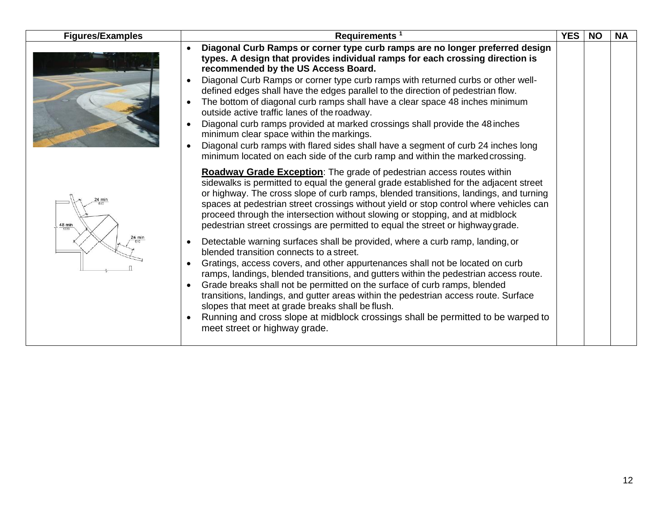| <b>Figures/Examples</b> | Requirements <sup>1</sup>                                                                                                                                                                                                                                                                                                                                                                                                                                                                                                                                                                                                                                                                                                                                                                                      | <b>YES</b> | <b>NO</b> | <b>NA</b> |
|-------------------------|----------------------------------------------------------------------------------------------------------------------------------------------------------------------------------------------------------------------------------------------------------------------------------------------------------------------------------------------------------------------------------------------------------------------------------------------------------------------------------------------------------------------------------------------------------------------------------------------------------------------------------------------------------------------------------------------------------------------------------------------------------------------------------------------------------------|------------|-----------|-----------|
|                         | Diagonal Curb Ramps or corner type curb ramps are no longer preferred design<br>types. A design that provides individual ramps for each crossing direction is<br>recommended by the US Access Board.<br>Diagonal Curb Ramps or corner type curb ramps with returned curbs or other well-<br>defined edges shall have the edges parallel to the direction of pedestrian flow.<br>The bottom of diagonal curb ramps shall have a clear space 48 inches minimum<br>outside active traffic lanes of the roadway.<br>Diagonal curb ramps provided at marked crossings shall provide the 48 inches<br>minimum clear space within the markings.<br>Diagonal curb ramps with flared sides shall have a segment of curb 24 inches long<br>minimum located on each side of the curb ramp and within the marked crossing. |            |           |           |
| 24 mir<br>48 min        | <b>Roadway Grade Exception:</b> The grade of pedestrian access routes within<br>sidewalks is permitted to equal the general grade established for the adjacent street<br>or highway. The cross slope of curb ramps, blended transitions, landings, and turning<br>spaces at pedestrian street crossings without yield or stop control where vehicles can<br>proceed through the intersection without slowing or stopping, and at midblock<br>pedestrian street crossings are permitted to equal the street or highway grade.                                                                                                                                                                                                                                                                                   |            |           |           |
|                         | Detectable warning surfaces shall be provided, where a curb ramp, landing, or<br>$\bullet$<br>blended transition connects to a street.<br>Gratings, access covers, and other appurtenances shall not be located on curb<br>ramps, landings, blended transitions, and gutters within the pedestrian access route.<br>Grade breaks shall not be permitted on the surface of curb ramps, blended<br>transitions, landings, and gutter areas within the pedestrian access route. Surface<br>slopes that meet at grade breaks shall be flush.<br>Running and cross slope at midblock crossings shall be permitted to be warped to<br>meet street or highway grade.                                                                                                                                                  |            |           |           |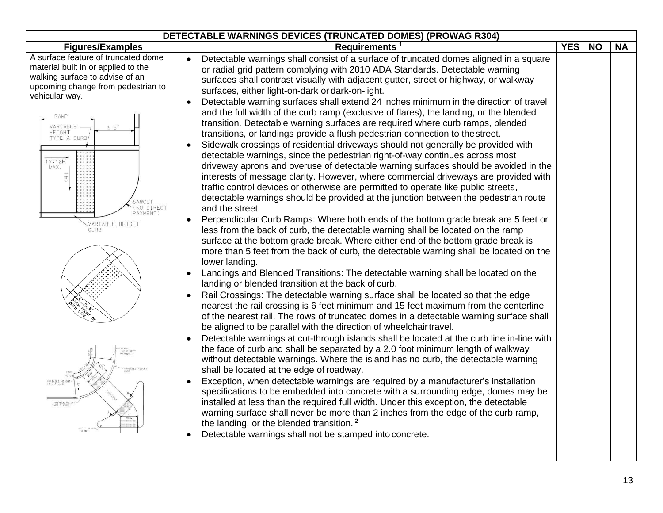| <b>DETECTABLE WARNINGS DEVICES (TRUNCATED DOMES) (PROWAG R304)</b>                                                                                                                                                                                                                                                                 |                                                                                                                                                                                                                                                                                                                                                                                                                                                                                                                                                                                                                                                                                                                                                                                                                                                                                                                                                                                                                                                                                                                                                                                                                                                                                                                                                                                                                                                                                                                                                                                                                                                                                                                                                                                                                                                                                                                                                                                                                                                                                                                                                                                                                                                                                                                                                                                                                                                                                                                                                                                                                                                                                                                                                                                                                                                                                    |            |           |           |  |
|------------------------------------------------------------------------------------------------------------------------------------------------------------------------------------------------------------------------------------------------------------------------------------------------------------------------------------|------------------------------------------------------------------------------------------------------------------------------------------------------------------------------------------------------------------------------------------------------------------------------------------------------------------------------------------------------------------------------------------------------------------------------------------------------------------------------------------------------------------------------------------------------------------------------------------------------------------------------------------------------------------------------------------------------------------------------------------------------------------------------------------------------------------------------------------------------------------------------------------------------------------------------------------------------------------------------------------------------------------------------------------------------------------------------------------------------------------------------------------------------------------------------------------------------------------------------------------------------------------------------------------------------------------------------------------------------------------------------------------------------------------------------------------------------------------------------------------------------------------------------------------------------------------------------------------------------------------------------------------------------------------------------------------------------------------------------------------------------------------------------------------------------------------------------------------------------------------------------------------------------------------------------------------------------------------------------------------------------------------------------------------------------------------------------------------------------------------------------------------------------------------------------------------------------------------------------------------------------------------------------------------------------------------------------------------------------------------------------------------------------------------------------------------------------------------------------------------------------------------------------------------------------------------------------------------------------------------------------------------------------------------------------------------------------------------------------------------------------------------------------------------------------------------------------------------------------------------------------------|------------|-----------|-----------|--|
| <b>Figures/Examples</b>                                                                                                                                                                                                                                                                                                            | Requirements <sup>1</sup>                                                                                                                                                                                                                                                                                                                                                                                                                                                                                                                                                                                                                                                                                                                                                                                                                                                                                                                                                                                                                                                                                                                                                                                                                                                                                                                                                                                                                                                                                                                                                                                                                                                                                                                                                                                                                                                                                                                                                                                                                                                                                                                                                                                                                                                                                                                                                                                                                                                                                                                                                                                                                                                                                                                                                                                                                                                          | <b>YES</b> | <b>NO</b> | <b>NA</b> |  |
| A surface feature of truncated dome<br>material built in or applied to the<br>walking surface to advise of an<br>upcoming change from pedestrian to<br>vehicular way.<br>RAMP<br>VARIABLE<br><b>HEIGHT</b><br>TYPE A CURB,<br>1V:12H<br>MAX.<br>SAWCU<br>NO DIRECT<br>PAYMENT)<br>VARIABLE HEIGHT<br><b>CURB</b><br>VARIABLE HEIGH | Detectable warnings shall consist of a surface of truncated domes aligned in a square<br>or radial grid pattern complying with 2010 ADA Standards. Detectable warning<br>surfaces shall contrast visually with adjacent gutter, street or highway, or walkway<br>surfaces, either light-on-dark or dark-on-light.<br>Detectable warning surfaces shall extend 24 inches minimum in the direction of travel<br>and the full width of the curb ramp (exclusive of flares), the landing, or the blended<br>transition. Detectable warning surfaces are required where curb ramps, blended<br>transitions, or landings provide a flush pedestrian connection to the street.<br>Sidewalk crossings of residential driveways should not generally be provided with<br>detectable warnings, since the pedestrian right-of-way continues across most<br>driveway aprons and overuse of detectable warning surfaces should be avoided in the<br>interests of message clarity. However, where commercial driveways are provided with<br>traffic control devices or otherwise are permitted to operate like public streets,<br>detectable warnings should be provided at the junction between the pedestrian route<br>and the street.<br>Perpendicular Curb Ramps: Where both ends of the bottom grade break are 5 feet or<br>less from the back of curb, the detectable warning shall be located on the ramp<br>surface at the bottom grade break. Where either end of the bottom grade break is<br>more than 5 feet from the back of curb, the detectable warning shall be located on the<br>lower landing.<br>Landings and Blended Transitions: The detectable warning shall be located on the<br>landing or blended transition at the back of curb.<br>Rail Crossings: The detectable warning surface shall be located so that the edge<br>nearest the rail crossing is 6 feet minimum and 15 feet maximum from the centerline<br>of the nearest rail. The rows of truncated domes in a detectable warning surface shall<br>be aligned to be parallel with the direction of wheelchair travel.<br>Detectable warnings at cut-through islands shall be located at the curb line in-line with<br>the face of curb and shall be separated by a 2.0 foot minimum length of walkway<br>without detectable warnings. Where the island has no curb, the detectable warning<br>shall be located at the edge of roadway.<br>Exception, when detectable warnings are required by a manufacturer's installation<br>specifications to be embedded into concrete with a surrounding edge, domes may be<br>installed at less than the required full width. Under this exception, the detectable<br>warning surface shall never be more than 2 inches from the edge of the curb ramp,<br>the landing, or the blended transition. <sup>2</sup><br>Detectable warnings shall not be stamped into concrete. |            |           |           |  |
|                                                                                                                                                                                                                                                                                                                                    |                                                                                                                                                                                                                                                                                                                                                                                                                                                                                                                                                                                                                                                                                                                                                                                                                                                                                                                                                                                                                                                                                                                                                                                                                                                                                                                                                                                                                                                                                                                                                                                                                                                                                                                                                                                                                                                                                                                                                                                                                                                                                                                                                                                                                                                                                                                                                                                                                                                                                                                                                                                                                                                                                                                                                                                                                                                                                    |            |           |           |  |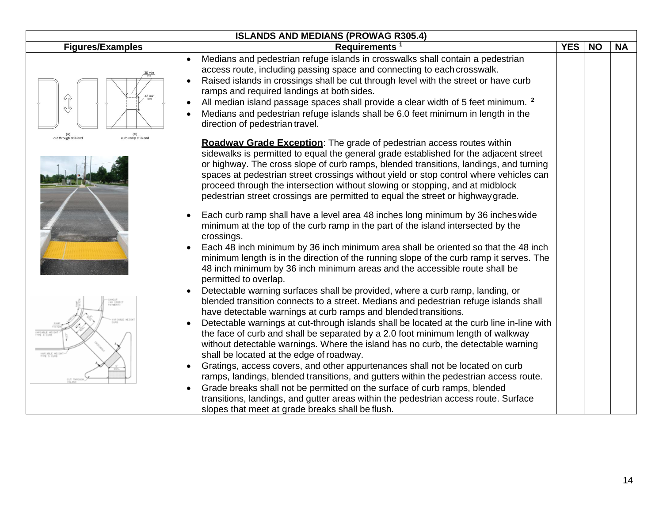| <b>ISLANDS AND MEDIANS (PROWAG R305.4)</b>                 |                                                                                                                                                                                                                                                                                                                                                                                                                                                                                                                                                                                                                                                                                                                                                                                                                                                                                                                                                |            |           |           |  |  |
|------------------------------------------------------------|------------------------------------------------------------------------------------------------------------------------------------------------------------------------------------------------------------------------------------------------------------------------------------------------------------------------------------------------------------------------------------------------------------------------------------------------------------------------------------------------------------------------------------------------------------------------------------------------------------------------------------------------------------------------------------------------------------------------------------------------------------------------------------------------------------------------------------------------------------------------------------------------------------------------------------------------|------------|-----------|-----------|--|--|
| <b>Figures/Examples</b>                                    | Requirements <sup>1</sup>                                                                                                                                                                                                                                                                                                                                                                                                                                                                                                                                                                                                                                                                                                                                                                                                                                                                                                                      | <b>YES</b> | <b>NO</b> | <b>NA</b> |  |  |
|                                                            | Medians and pedestrian refuge islands in crosswalks shall contain a pedestrian<br>$\bullet$<br>access route, including passing space and connecting to each crosswalk.<br>Raised islands in crossings shall be cut through level with the street or have curb<br>ramps and required landings at both sides.<br>All median island passage spaces shall provide a clear width of 5 feet minimum. <sup>2</sup><br>$\bullet$<br>Medians and pedestrian refuge islands shall be 6.0 feet minimum in length in the<br>direction of pedestrian travel.                                                                                                                                                                                                                                                                                                                                                                                                |            |           |           |  |  |
| (b)<br>curb ramp at island<br>(a)<br>cut through at island | <b>Roadway Grade Exception:</b> The grade of pedestrian access routes within<br>sidewalks is permitted to equal the general grade established for the adjacent street<br>or highway. The cross slope of curb ramps, blended transitions, landings, and turning<br>spaces at pedestrian street crossings without yield or stop control where vehicles can<br>proceed through the intersection without slowing or stopping, and at midblock<br>pedestrian street crossings are permitted to equal the street or highway grade.                                                                                                                                                                                                                                                                                                                                                                                                                   |            |           |           |  |  |
|                                                            | Each curb ramp shall have a level area 48 inches long minimum by 36 inches wide<br>$\bullet$<br>minimum at the top of the curb ramp in the part of the island intersected by the<br>crossings.<br>Each 48 inch minimum by 36 inch minimum area shall be oriented so that the 48 inch<br>$\bullet$<br>minimum length is in the direction of the running slope of the curb ramp it serves. The<br>48 inch minimum by 36 inch minimum areas and the accessible route shall be<br>permitted to overlap.                                                                                                                                                                                                                                                                                                                                                                                                                                            |            |           |           |  |  |
| EARCHINE H<br>TYPE 1 CUP                                   | Detectable warning surfaces shall be provided, where a curb ramp, landing, or<br>blended transition connects to a street. Medians and pedestrian refuge islands shall<br>have detectable warnings at curb ramps and blended transitions.<br>Detectable warnings at cut-through islands shall be located at the curb line in-line with<br>$\bullet$<br>the face of curb and shall be separated by a 2.0 foot minimum length of walkway<br>without detectable warnings. Where the island has no curb, the detectable warning<br>shall be located at the edge of roadway.<br>Gratings, access covers, and other appurtenances shall not be located on curb<br>$\bullet$<br>ramps, landings, blended transitions, and gutters within the pedestrian access route.<br>Grade breaks shall not be permitted on the surface of curb ramps, blended<br>$\bullet$<br>transitions, landings, and gutter areas within the pedestrian access route. Surface |            |           |           |  |  |
|                                                            | slopes that meet at grade breaks shall be flush.                                                                                                                                                                                                                                                                                                                                                                                                                                                                                                                                                                                                                                                                                                                                                                                                                                                                                               |            |           |           |  |  |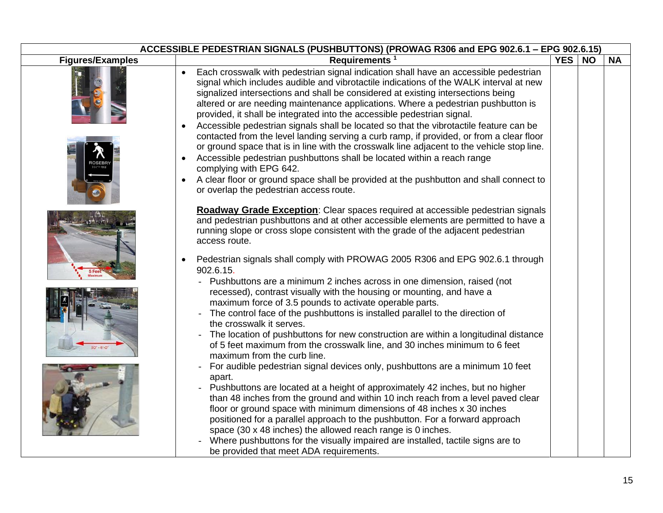| ACCESSIBLE PEDESTRIAN SIGNALS (PUSHBUTTONS) (PROWAG R306 and EPG 902.6.1 - EPG 902.6.15) |                                                                                                                                                                                                                                                                                                                                                                                                                                                                                                                                                                                                                                                                                                                                                                                                                                                                                                                                                                                                                                                                                                                                                                                                                                                                                                                                                                                                                                                                                                                                                       |     |           |           |  |  |
|------------------------------------------------------------------------------------------|-------------------------------------------------------------------------------------------------------------------------------------------------------------------------------------------------------------------------------------------------------------------------------------------------------------------------------------------------------------------------------------------------------------------------------------------------------------------------------------------------------------------------------------------------------------------------------------------------------------------------------------------------------------------------------------------------------------------------------------------------------------------------------------------------------------------------------------------------------------------------------------------------------------------------------------------------------------------------------------------------------------------------------------------------------------------------------------------------------------------------------------------------------------------------------------------------------------------------------------------------------------------------------------------------------------------------------------------------------------------------------------------------------------------------------------------------------------------------------------------------------------------------------------------------------|-----|-----------|-----------|--|--|
| <b>Figures/Examples</b>                                                                  | Requirements <sup>1</sup>                                                                                                                                                                                                                                                                                                                                                                                                                                                                                                                                                                                                                                                                                                                                                                                                                                                                                                                                                                                                                                                                                                                                                                                                                                                                                                                                                                                                                                                                                                                             | YES | <b>NO</b> | <b>NA</b> |  |  |
|                                                                                          | Each crosswalk with pedestrian signal indication shall have an accessible pedestrian<br>signal which includes audible and vibrotactile indications of the WALK interval at new<br>signalized intersections and shall be considered at existing intersections being<br>altered or are needing maintenance applications. Where a pedestrian pushbutton is<br>provided, it shall be integrated into the accessible pedestrian signal.<br>Accessible pedestrian signals shall be located so that the vibrotactile feature can be<br>contacted from the level landing serving a curb ramp, if provided, or from a clear floor<br>or ground space that is in line with the crosswalk line adjacent to the vehicle stop line.<br>Accessible pedestrian pushbuttons shall be located within a reach range<br>$\bullet$<br>complying with EPG 642.<br>A clear floor or ground space shall be provided at the pushbutton and shall connect to<br>$\bullet$<br>or overlap the pedestrian access route.                                                                                                                                                                                                                                                                                                                                                                                                                                                                                                                                                           |     |           |           |  |  |
|                                                                                          | <b>Roadway Grade Exception:</b> Clear spaces required at accessible pedestrian signals<br>and pedestrian pushbuttons and at other accessible elements are permitted to have a<br>running slope or cross slope consistent with the grade of the adjacent pedestrian<br>access route.<br>Pedestrian signals shall comply with PROWAG 2005 R306 and EPG 902.6.1 through<br>$\bullet$<br>902.6.15.<br>Pushbuttons are a minimum 2 inches across in one dimension, raised (not<br>recessed), contrast visually with the housing or mounting, and have a<br>maximum force of 3.5 pounds to activate operable parts.<br>The control face of the pushbuttons is installed parallel to the direction of<br>the crosswalk it serves.<br>The location of pushbuttons for new construction are within a longitudinal distance<br>of 5 feet maximum from the crosswalk line, and 30 inches minimum to 6 feet<br>maximum from the curb line.<br>For audible pedestrian signal devices only, pushbuttons are a minimum 10 feet<br>apart.<br>Pushbuttons are located at a height of approximately 42 inches, but no higher<br>than 48 inches from the ground and within 10 inch reach from a level paved clear<br>floor or ground space with minimum dimensions of 48 inches x 30 inches<br>positioned for a parallel approach to the pushbutton. For a forward approach<br>space (30 x 48 inches) the allowed reach range is 0 inches.<br>Where pushbuttons for the visually impaired are installed, tactile signs are to<br>be provided that meet ADA requirements. |     |           |           |  |  |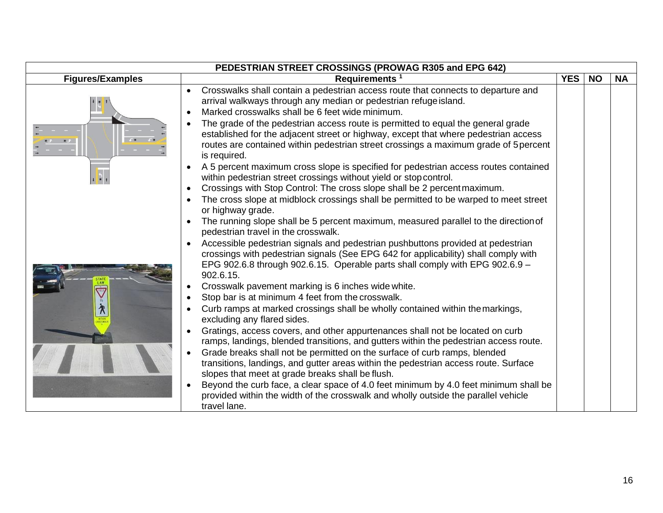|                         | PEDESTRIAN STREET CROSSINGS (PROWAG R305 and EPG 642)                                                                                                                                                                                                                           |            |           |           |
|-------------------------|---------------------------------------------------------------------------------------------------------------------------------------------------------------------------------------------------------------------------------------------------------------------------------|------------|-----------|-----------|
| <b>Figures/Examples</b> | Requirements <sup>1</sup>                                                                                                                                                                                                                                                       | <b>YES</b> | <b>NO</b> | <b>NA</b> |
|                         | Crosswalks shall contain a pedestrian access route that connects to departure and<br>arrival walkways through any median or pedestrian refuge island.<br>Marked crosswalks shall be 6 feet wide minimum.                                                                        |            |           |           |
|                         | The grade of the pedestrian access route is permitted to equal the general grade<br>established for the adjacent street or highway, except that where pedestrian access<br>routes are contained within pedestrian street crossings a maximum grade of 5 percent<br>is required. |            |           |           |
|                         | A 5 percent maximum cross slope is specified for pedestrian access routes contained<br>within pedestrian street crossings without yield or stop control.                                                                                                                        |            |           |           |
|                         | Crossings with Stop Control: The cross slope shall be 2 percent maximum.                                                                                                                                                                                                        |            |           |           |
|                         | The cross slope at midblock crossings shall be permitted to be warped to meet street<br>or highway grade.                                                                                                                                                                       |            |           |           |
|                         | The running slope shall be 5 percent maximum, measured parallel to the direction of<br>pedestrian travel in the crosswalk.                                                                                                                                                      |            |           |           |
|                         | Accessible pedestrian signals and pedestrian pushbuttons provided at pedestrian<br>crossings with pedestrian signals (See EPG 642 for applicability) shall comply with<br>EPG 902.6.8 through 902.6.15. Operable parts shall comply with EPG 902.6.9 $-$<br>902.6.15.           |            |           |           |
|                         | Crosswalk pavement marking is 6 inches wide white.                                                                                                                                                                                                                              |            |           |           |
|                         | Stop bar is at minimum 4 feet from the crosswalk.                                                                                                                                                                                                                               |            |           |           |
|                         | Curb ramps at marked crossings shall be wholly contained within the markings,<br>excluding any flared sides.                                                                                                                                                                    |            |           |           |
|                         | Gratings, access covers, and other appurtenances shall not be located on curb<br>ramps, landings, blended transitions, and gutters within the pedestrian access route.                                                                                                          |            |           |           |
|                         | Grade breaks shall not be permitted on the surface of curb ramps, blended<br>transitions, landings, and gutter areas within the pedestrian access route. Surface<br>slopes that meet at grade breaks shall be flush.                                                            |            |           |           |
|                         | Beyond the curb face, a clear space of 4.0 feet minimum by 4.0 feet minimum shall be<br>provided within the width of the crosswalk and wholly outside the parallel vehicle<br>travel lane.                                                                                      |            |           |           |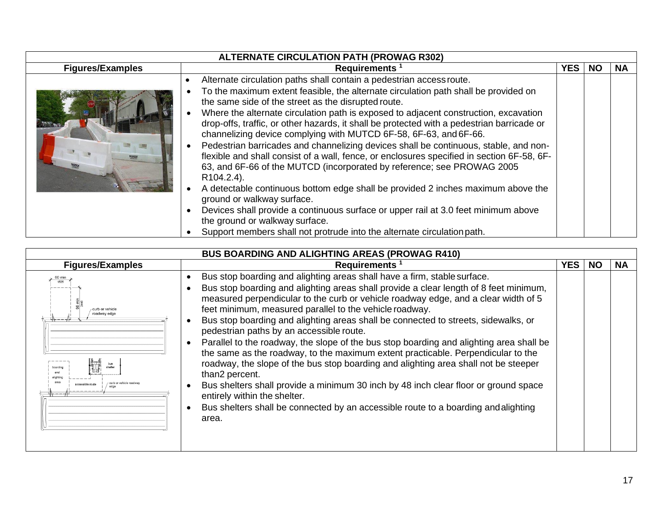| <b>ALTERNATE CIRCULATION PATH (PROWAG R302)</b> |                                                                                                                                                                                                                                                                                                                                                                                                                                                                                                                                                                                                                                                                                                                                                                                                                                                                                                                                                                                                                                                                                               |  |  |  |  |  |
|-------------------------------------------------|-----------------------------------------------------------------------------------------------------------------------------------------------------------------------------------------------------------------------------------------------------------------------------------------------------------------------------------------------------------------------------------------------------------------------------------------------------------------------------------------------------------------------------------------------------------------------------------------------------------------------------------------------------------------------------------------------------------------------------------------------------------------------------------------------------------------------------------------------------------------------------------------------------------------------------------------------------------------------------------------------------------------------------------------------------------------------------------------------|--|--|--|--|--|
| <b>Figures/Examples</b>                         | <b>Requirements</b>                                                                                                                                                                                                                                                                                                                                                                                                                                                                                                                                                                                                                                                                                                                                                                                                                                                                                                                                                                                                                                                                           |  |  |  |  |  |
|                                                 | Alternate circulation paths shall contain a pedestrian access route.<br>To the maximum extent feasible, the alternate circulation path shall be provided on<br>the same side of the street as the disrupted route.<br>Where the alternate circulation path is exposed to adjacent construction, excavation<br>drop-offs, traffic, or other hazards, it shall be protected with a pedestrian barricade or<br>channelizing device complying with MUTCD 6F-58, 6F-63, and 6F-66.<br>Pedestrian barricades and channelizing devices shall be continuous, stable, and non-<br>flexible and shall consist of a wall, fence, or enclosures specified in section 6F-58, 6F-<br>63, and 6F-66 of the MUTCD (incorporated by reference; see PROWAG 2005<br>R <sub>104.2.4</sub> ).<br>A detectable continuous bottom edge shall be provided 2 inches maximum above the<br>ground or walkway surface.<br>Devices shall provide a continuous surface or upper rail at 3.0 feet minimum above<br>the ground or walkway surface.<br>Support members shall not protrude into the alternate circulation path. |  |  |  |  |  |

| <b>BUS BOARDING AND ALIGHTING AREAS (PROWAG R410)</b> |                                                                                                                                                                                                                                                                                                                                                                                                                                                                                                                                                                                                                                                                                                                                                                                                                                                                                                                                                                    |  |  |  |  |  |  |
|-------------------------------------------------------|--------------------------------------------------------------------------------------------------------------------------------------------------------------------------------------------------------------------------------------------------------------------------------------------------------------------------------------------------------------------------------------------------------------------------------------------------------------------------------------------------------------------------------------------------------------------------------------------------------------------------------------------------------------------------------------------------------------------------------------------------------------------------------------------------------------------------------------------------------------------------------------------------------------------------------------------------------------------|--|--|--|--|--|--|
| <b>Figures/Examples</b>                               | Requirements <sup>1</sup>                                                                                                                                                                                                                                                                                                                                                                                                                                                                                                                                                                                                                                                                                                                                                                                                                                                                                                                                          |  |  |  |  |  |  |
| 1525<br>curb or vehicle<br>roadway edge<br>boarding   | Bus stop boarding and alighting areas shall have a firm, stable surface.<br>Bus stop boarding and alighting areas shall provide a clear length of 8 feet minimum,<br>measured perpendicular to the curb or vehicle roadway edge, and a clear width of 5<br>feet minimum, measured parallel to the vehicle roadway.<br>Bus stop boarding and alighting areas shall be connected to streets, sidewalks, or<br>pedestrian paths by an accessible route.<br>Parallel to the roadway, the slope of the bus stop boarding and alighting area shall be<br>the same as the roadway, to the maximum extent practicable. Perpendicular to the<br>roadway, the slope of the bus stop boarding and alighting area shall not be steeper<br>than2 percent.<br>Bus shelters shall provide a minimum 30 inch by 48 inch clear floor or ground space<br>entirely within the shelter.<br>Bus shelters shall be connected by an accessible route to a boarding and alighting<br>area. |  |  |  |  |  |  |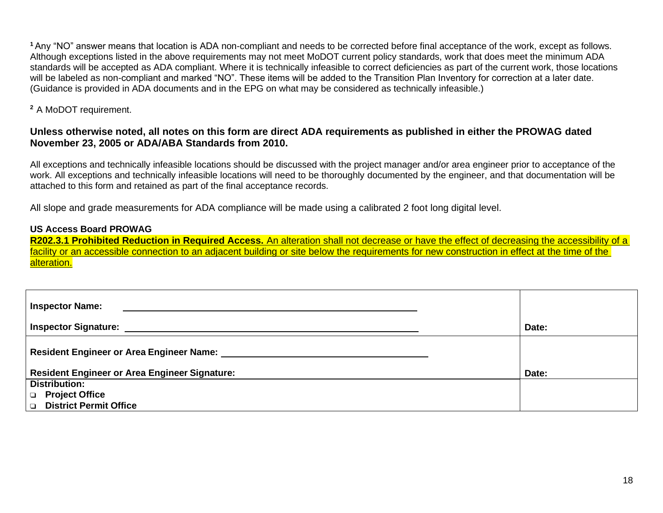**<sup>1</sup>**Any "NO" answer means that location is ADA non-compliant and needs to be corrected before final acceptance of the work, except as follows. Although exceptions listed in the above requirements may not meet MoDOT current policy standards, work that does meet the minimum ADA standards will be accepted as ADA compliant. Where it is technically infeasible to correct deficiencies as part of the current work, those locations will be labeled as non-compliant and marked "NO". These items will be added to the Transition Plan Inventory for correction at a later date. (Guidance is provided in ADA documents and in the EPG on what may be considered as technically infeasible.)

**<sup>2</sup>**A MoDOT requirement.

## **Unless otherwise noted, all notes on this form are direct ADA requirements as published in either the PROWAG dated November 23, 2005 or ADA/ABA Standards from 2010.**

All exceptions and technically infeasible locations should be discussed with the project manager and/or area engineer prior to acceptance of the work. All exceptions and technically infeasible locations will need to be thoroughly documented by the engineer, and that documentation will be attached to this form and retained as part of the final acceptance records.

All slope and grade measurements for ADA compliance will be made using a calibrated 2 foot long digital level.

## **US Access Board PROWAG**

**R202.3.1 Prohibited Reduction in Required Access.** An alteration shall not decrease or have the effect of decreasing the accessibility of a facility or an accessible connection to an adjacent building or site below the requirements for new construction in effect at the time of the alteration.

| Inspector Name:                               |       |
|-----------------------------------------------|-------|
| Inspector Signature: _                        | Date: |
|                                               |       |
| Resident Engineer or Area Engineer Signature: | Date: |
| <b>Distribution:</b>                          |       |
| $\Box$ Project Office                         |       |
| District Permit Office                        |       |